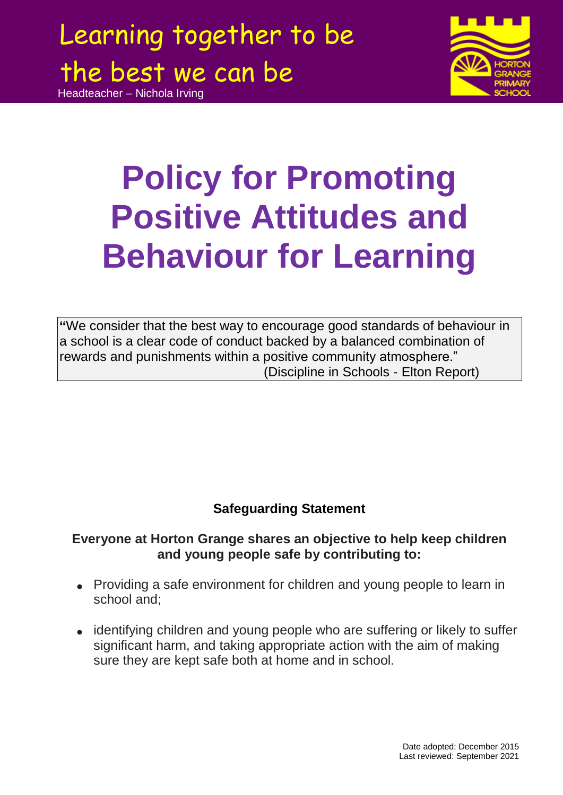Headteacher – Nichola Irving



# **Policy for Promoting Positive Attitudes and Behaviour for Learning**

**"**We consider that the best way to encourage good standards of behaviour in a school is a clear code of conduct backed by a balanced combination of rewards and punishments within a positive community atmosphere." (Discipline in Schools - Elton Report)

### **Safeguarding Statement**

### **Everyone at Horton Grange shares an objective to help keep children and young people safe by contributing to:**

- Providing a safe environment for children and young people to learn in school and;
- identifying children and young people who are suffering or likely to suffer significant harm, and taking appropriate action with the aim of making sure they are kept safe both at home and in school.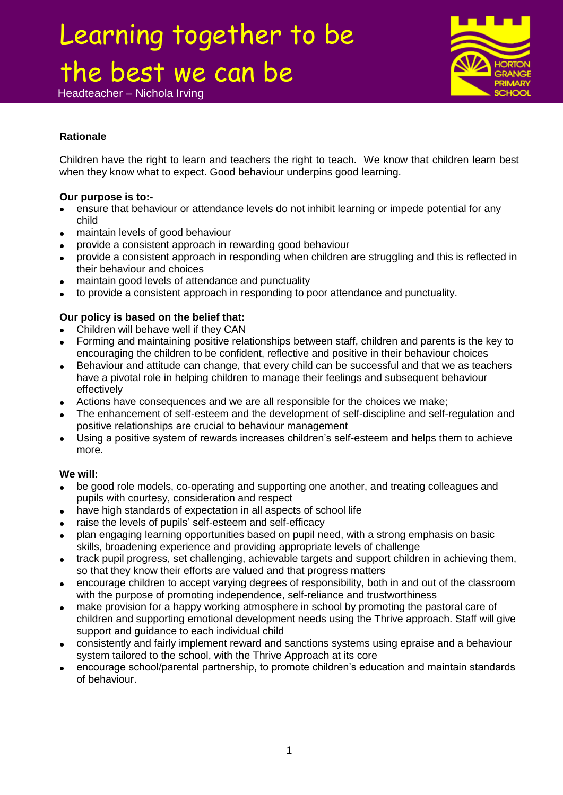Headteacher – Nichola Irving



### **Rationale**

Children have the right to learn and teachers the right to teach. We know that children learn best when they know what to expect. Good behaviour underpins good learning.

### **Our purpose is to:-**

- ensure that behaviour or attendance levels do not inhibit learning or impede potential for any child
- maintain levels of good behaviour
- provide a consistent approach in rewarding good behaviour
- provide a consistent approach in responding when children are struggling and this is reflected in their behaviour and choices
- maintain good levels of attendance and punctuality
- to provide a consistent approach in responding to poor attendance and punctuality.

### **Our policy is based on the belief that:**

- Children will behave well if they CAN
- Forming and maintaining positive relationships between staff, children and parents is the key to encouraging the children to be confident, reflective and positive in their behaviour choices
- Behaviour and attitude can change, that every child can be successful and that we as teachers have a pivotal role in helping children to manage their feelings and subsequent behaviour effectively
- Actions have consequences and we are all responsible for the choices we make;
- The enhancement of self-esteem and the development of self-discipline and self-regulation and positive relationships are crucial to behaviour management
- Using a positive system of rewards increases children's self-esteem and helps them to achieve more.

### **We will:**

- be good role models, co-operating and supporting one another, and treating colleagues and pupils with courtesy, consideration and respect
- have high standards of expectation in all aspects of school life
- raise the levels of pupils' self-esteem and self-efficacy
- plan engaging learning opportunities based on pupil need, with a strong emphasis on basic skills, broadening experience and providing appropriate levels of challenge
- track pupil progress, set challenging, achievable targets and support children in achieving them, so that they know their efforts are valued and that progress matters
- encourage children to accept varying degrees of responsibility, both in and out of the classroom with the purpose of promoting independence, self-reliance and trustworthiness
- make provision for a happy working atmosphere in school by promoting the pastoral care of children and supporting emotional development needs using the Thrive approach. Staff will give support and guidance to each individual child
- consistently and fairly implement reward and sanctions systems using epraise and a behaviour system tailored to the school, with the Thrive Approach at its core
- encourage school/parental partnership, to promote children's education and maintain standards of behaviour.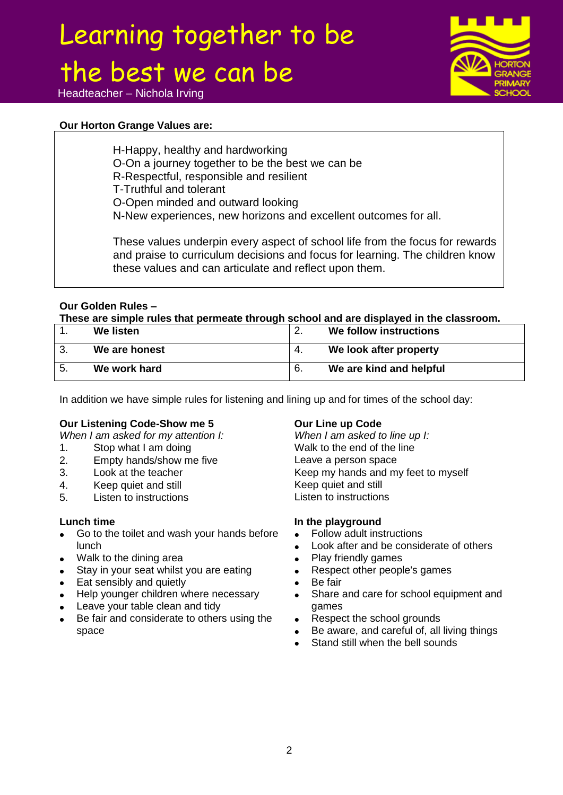

### Headteacher – Nichola Irving

### **Our Horton Grange Values are:**

H-Happy, healthy and hardworking O-On a journey together to be the best we can be R-Respectful, responsible and resilient T-Truthful and tolerant O-Open minded and outward looking N-New experiences, new horizons and excellent outcomes for all.

These values underpin every aspect of school life from the focus for rewards and praise to curriculum decisions and focus for learning. The children know these values and can articulate and reflect upon them.

#### **Our Golden Rules –**

**These are simple rules that permeate through school and are displayed in the classroom.** 

| We listen     | ⌒   | We follow instructions  |
|---------------|-----|-------------------------|
| We are honest | 4.  | We look after property  |
| We work hard  | -6. | We are kind and helpful |

In addition we have simple rules for listening and lining up and for times of the school day:

### **Our Listening Code-Show me 5**<br>
When I am asked for my attention I: When I am asked to line up I:

*When I am asked for my attention I:* 

- 1. Stop what I am doing The Malk to the end of the line
- 2. Empty hands/show me five Exercise Leave a person space
- 
- 4. Keep quiet and still **Keep quiet and still** Keep quiet and still
- 5. Listen to instructions Listen to instructions

#### **Lunch time**

- Go to the toilet and wash your hands before lunch
- Walk to the dining area
- Stay in your seat whilst you are eating
- Eat sensibly and quietly
- Help younger children where necessary
- Leave your table clean and tidy
- Be fair and considerate to others using the space

3. Look at the teacher the state of the Keep my hands and my feet to myself

### **In the playground**

- Follow adult instructions
- Look after and be considerate of others
- Play friendly games
- Respect other people's games
- Be fair
- Share and care for school equipment and games
- Respect the school grounds
- Be aware, and careful of, all living things
- Stand still when the bell sounds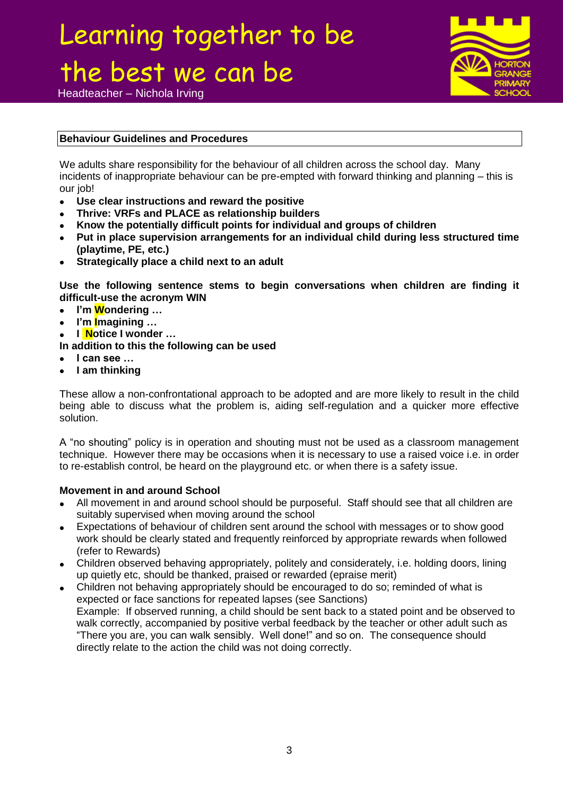Headteacher – Nichola Irving



### **Behaviour Guidelines and Procedures**

We adults share responsibility for the behaviour of all children across the school day. Many incidents of inappropriate behaviour can be pre-empted with forward thinking and planning – this is our job!

- **Use clear instructions and reward the positive**
- **Thrive: VRFs and PLACE as relationship builders**
- **Know the potentially difficult points for individual and groups of children**
- **Put in place supervision arrangements for an individual child during less structured time (playtime, PE, etc.)**
- **Strategically place a child next to an adult**

**Use the following sentence stems to begin conversations when children are finding it difficult-use the acronym WIN**

- **I'm Wondering …**
- **I'm Imagining …**
- **I Notice I wonder …**
- **In addition to this the following can be used**
- **I can see …**
- **I am thinking**

These allow a non-confrontational approach to be adopted and are more likely to result in the child being able to discuss what the problem is, aiding self-regulation and a quicker more effective solution.

A "no shouting" policy is in operation and shouting must not be used as a classroom management technique. However there may be occasions when it is necessary to use a raised voice i.e. in order to re-establish control, be heard on the playground etc. or when there is a safety issue.

### **Movement in and around School**

- All movement in and around school should be purposeful. Staff should see that all children are suitably supervised when moving around the school
- Expectations of behaviour of children sent around the school with messages or to show good work should be clearly stated and frequently reinforced by appropriate rewards when followed (refer to Rewards)
- Children observed behaving appropriately, politely and considerately, i.e. holding doors, lining up quietly etc, should be thanked, praised or rewarded (epraise merit)
- Children not behaving appropriately should be encouraged to do so; reminded of what is expected or face sanctions for repeated lapses (see Sanctions) Example: If observed running, a child should be sent back to a stated point and be observed to walk correctly, accompanied by positive verbal feedback by the teacher or other adult such as "There you are, you can walk sensibly. Well done!" and so on. The consequence should directly relate to the action the child was not doing correctly.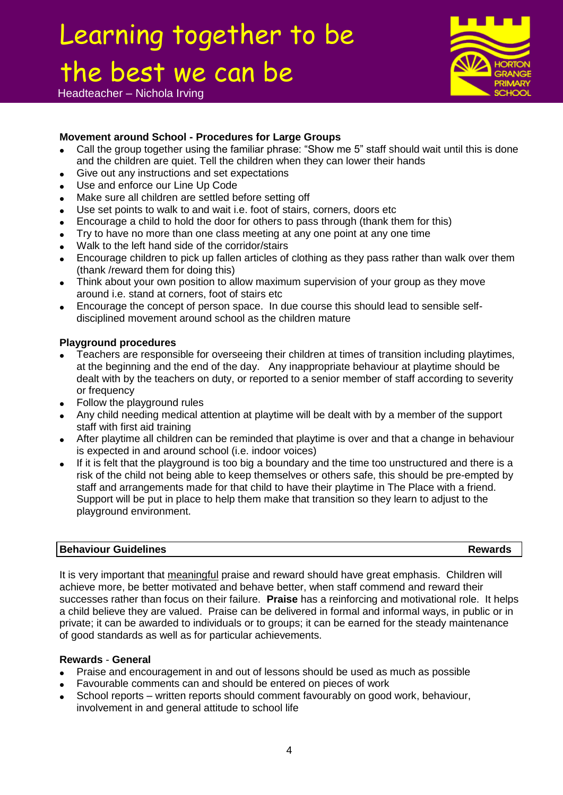Headteacher – Nichola Irving

### **Movement around School - Procedures for Large Groups**

- Call the group together using the familiar phrase: "Show me 5" staff should wait until this is done and the children are quiet. Tell the children when they can lower their hands
- Give out any instructions and set expectations
- Use and enforce our Line Up Code
- Make sure all children are settled before setting off
- Use set points to walk to and wait i.e. foot of stairs, corners, doors etc
- Encourage a child to hold the door for others to pass through (thank them for this)
- Try to have no more than one class meeting at any one point at any one time
- Walk to the left hand side of the corridor/stairs
- Encourage children to pick up fallen articles of clothing as they pass rather than walk over them (thank /reward them for doing this)
- Think about your own position to allow maximum supervision of your group as they move around i.e. stand at corners, foot of stairs etc
- Encourage the concept of person space. In due course this should lead to sensible selfdisciplined movement around school as the children mature

### **Playground procedures**

- Teachers are responsible for overseeing their children at times of transition including playtimes, at the beginning and the end of the day. Any inappropriate behaviour at playtime should be dealt with by the teachers on duty, or reported to a senior member of staff according to severity or frequency
- Follow the playground rules
- Any child needing medical attention at playtime will be dealt with by a member of the support staff with first aid training
- After playtime all children can be reminded that playtime is over and that a change in behaviour is expected in and around school (i.e. indoor voices)
- If it is felt that the playground is too big a boundary and the time too unstructured and there is a risk of the child not being able to keep themselves or others safe, this should be pre-empted by staff and arrangements made for that child to have their playtime in The Place with a friend. Support will be put in place to help them make that transition so they learn to adjust to the playground environment.

#### **Behaviour Guidelines Rewards**

It is very important that meaningful praise and reward should have great emphasis. Children will achieve more, be better motivated and behave better, when staff commend and reward their successes rather than focus on their failure. **Praise** has a reinforcing and motivational role. It helps a child believe they are valued. Praise can be delivered in formal and informal ways, in public or in private; it can be awarded to individuals or to groups; it can be earned for the steady maintenance of good standards as well as for particular achievements.

#### **Rewards** - **General**

- Praise and encouragement in and out of lessons should be used as much as possible
- Favourable comments can and should be entered on pieces of work
- School reports written reports should comment favourably on good work, behaviour, involvement in and general attitude to school life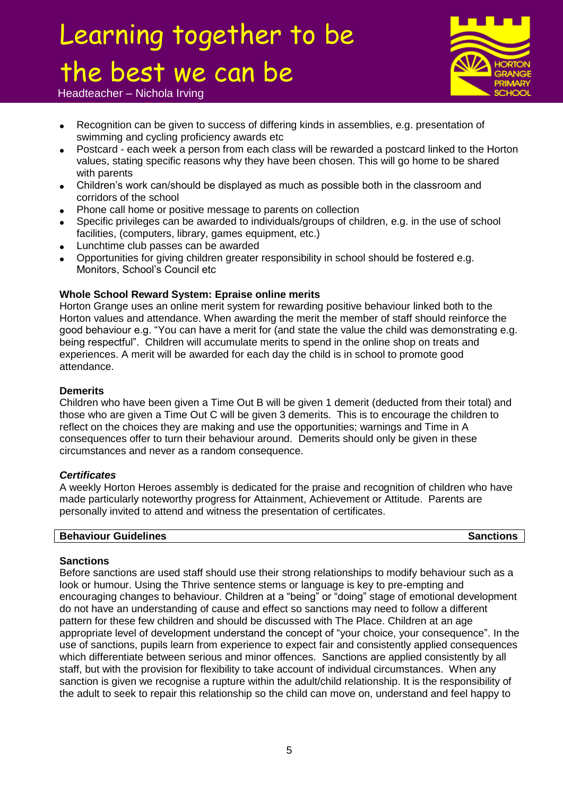

Headteacher – Nichola Irving

- Recognition can be given to success of differing kinds in assemblies, e.g. presentation of swimming and cycling proficiency awards etc
- Postcard each week a person from each class will be rewarded a postcard linked to the Horton values, stating specific reasons why they have been chosen. This will go home to be shared with parents
- Children's work can/should be displayed as much as possible both in the classroom and corridors of the school
- Phone call home or positive message to parents on collection
- Specific privileges can be awarded to individuals/groups of children, e.g. in the use of school facilities, (computers, library, games equipment, etc.)
- Lunchtime club passes can be awarded
- Opportunities for giving children greater responsibility in school should be fostered e.g. Monitors, School's Council etc

### **Whole School Reward System: Epraise online merits**

Horton Grange uses an online merit system for rewarding positive behaviour linked both to the Horton values and attendance. When awarding the merit the member of staff should reinforce the good behaviour e.g. "You can have a merit for (and state the value the child was demonstrating e.g. being respectful". Children will accumulate merits to spend in the online shop on treats and experiences. A merit will be awarded for each day the child is in school to promote good attendance.

### **Demerits**

Children who have been given a Time Out B will be given 1 demerit (deducted from their total) and those who are given a Time Out C will be given 3 demerits. This is to encourage the children to reflect on the choices they are making and use the opportunities; warnings and Time in A consequences offer to turn their behaviour around. Demerits should only be given in these circumstances and never as a random consequence.

### *Certificates*

A weekly Horton Heroes assembly is dedicated for the praise and recognition of children who have made particularly noteworthy progress for Attainment, Achievement or Attitude. Parents are personally invited to attend and witness the presentation of certificates.

### **Behaviour Guidelines Sanctions Sanctions**

### **Sanctions**

Before sanctions are used staff should use their strong relationships to modify behaviour such as a look or humour. Using the Thrive sentence stems or language is key to pre-empting and encouraging changes to behaviour. Children at a "being" or "doing" stage of emotional development do not have an understanding of cause and effect so sanctions may need to follow a different pattern for these few children and should be discussed with The Place. Children at an age appropriate level of development understand the concept of "your choice, your consequence". In the use of sanctions, pupils learn from experience to expect fair and consistently applied consequences which differentiate between serious and minor offences. Sanctions are applied consistently by all staff, but with the provision for flexibility to take account of individual circumstances. When any sanction is given we recognise a rupture within the adult/child relationship. It is the responsibility of the adult to seek to repair this relationship so the child can move on, understand and feel happy to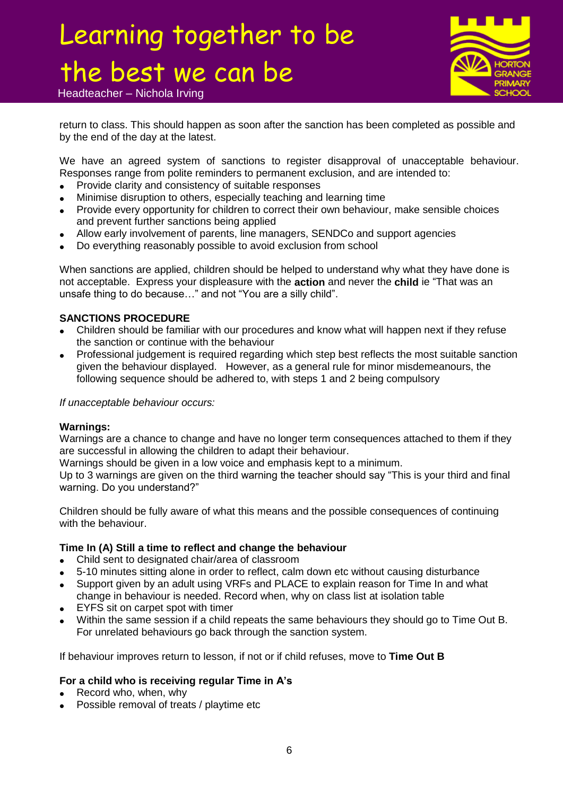

Headteacher – Nichola Irving

return to class. This should happen as soon after the sanction has been completed as possible and by the end of the day at the latest.

We have an agreed system of sanctions to register disapproval of unacceptable behaviour. Responses range from polite reminders to permanent exclusion, and are intended to:

- Provide clarity and consistency of suitable responses
- Minimise disruption to others, especially teaching and learning time
- Provide every opportunity for children to correct their own behaviour, make sensible choices and prevent further sanctions being applied
- Allow early involvement of parents, line managers, SENDCo and support agencies
- Do everything reasonably possible to avoid exclusion from school

When sanctions are applied, children should be helped to understand why what they have done is not acceptable. Express your displeasure with the **action** and never the **child** ie "That was an unsafe thing to do because…" and not "You are a silly child".

#### **SANCTIONS PROCEDURE**

- Children should be familiar with our procedures and know what will happen next if they refuse the sanction or continue with the behaviour
- Professional judgement is required regarding which step best reflects the most suitable sanction given the behaviour displayed. However, as a general rule for minor misdemeanours, the following sequence should be adhered to, with steps 1 and 2 being compulsory

#### *If unacceptable behaviour occurs:*

#### **Warnings:**

Warnings are a chance to change and have no longer term consequences attached to them if they are successful in allowing the children to adapt their behaviour.

Warnings should be given in a low voice and emphasis kept to a minimum.

Up to 3 warnings are given on the third warning the teacher should say "This is your third and final warning. Do you understand?"

Children should be fully aware of what this means and the possible consequences of continuing with the behaviour.

#### **Time In (A) Still a time to reflect and change the behaviour**

- Child sent to designated chair/area of classroom
- 5-10 minutes sitting alone in order to reflect, calm down etc without causing disturbance
- Support given by an adult using VRFs and PLACE to explain reason for Time In and what change in behaviour is needed. Record when, why on class list at isolation table
- EYFS sit on carpet spot with timer
- Within the same session if a child repeats the same behaviours they should go to Time Out B. For unrelated behaviours go back through the sanction system.

If behaviour improves return to lesson, if not or if child refuses, move to **Time Out B**

### **For a child who is receiving regular Time in A's**

- Record who, when, why
- Possible removal of treats / playtime etc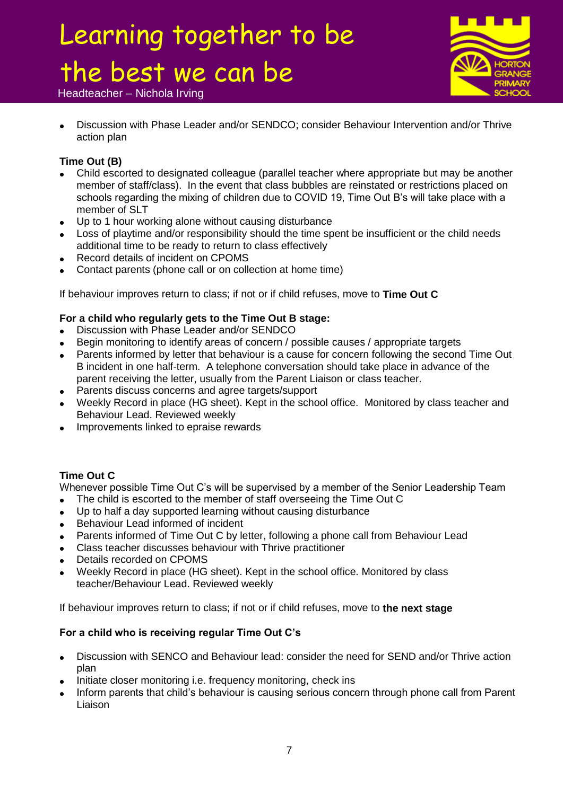

### Headteacher – Nichola Irving

 Discussion with Phase Leader and/or SENDCO; consider Behaviour Intervention and/or Thrive action plan

### **Time Out (B)**

- Child escorted to designated colleague (parallel teacher where appropriate but may be another member of staff/class). In the event that class bubbles are reinstated or restrictions placed on schools regarding the mixing of children due to COVID 19, Time Out B's will take place with a member of SLT
- Up to 1 hour working alone without causing disturbance
- Loss of playtime and/or responsibility should the time spent be insufficient or the child needs additional time to be ready to return to class effectively
- Record details of incident on CPOMS
- Contact parents (phone call or on collection at home time)

If behaviour improves return to class; if not or if child refuses, move to **Time Out C**

### **For a child who regularly gets to the Time Out B stage:**

- Discussion with Phase Leader and/or SENDCO
- Begin monitoring to identify areas of concern / possible causes / appropriate targets
- Parents informed by letter that behaviour is a cause for concern following the second Time Out B incident in one half-term. A telephone conversation should take place in advance of the parent receiving the letter, usually from the Parent Liaison or class teacher.
- Parents discuss concerns and agree targets/support
- Weekly Record in place (HG sheet). Kept in the school office. Monitored by class teacher and Behaviour Lead. Reviewed weekly
- Improvements linked to epraise rewards

### **Time Out C**

Whenever possible Time Out C's will be supervised by a member of the Senior Leadership Team

- The child is escorted to the member of staff overseeing the Time Out C
- Up to half a day supported learning without causing disturbance
- Behaviour Lead informed of incident
- Parents informed of Time Out C by letter, following a phone call from Behaviour Lead
- Class teacher discusses behaviour with Thrive practitioner
- Details recorded on CPOMS
- Weekly Record in place (HG sheet). Kept in the school office. Monitored by class teacher/Behaviour Lead. Reviewed weekly

If behaviour improves return to class; if not or if child refuses, move to **the next stage** 

### **For a child who is receiving regular Time Out C's**

- Discussion with SENCO and Behaviour lead: consider the need for SEND and/or Thrive action plan
- Initiate closer monitoring i.e. frequency monitoring, check ins
- Inform parents that child's behaviour is causing serious concern through phone call from Parent Liaison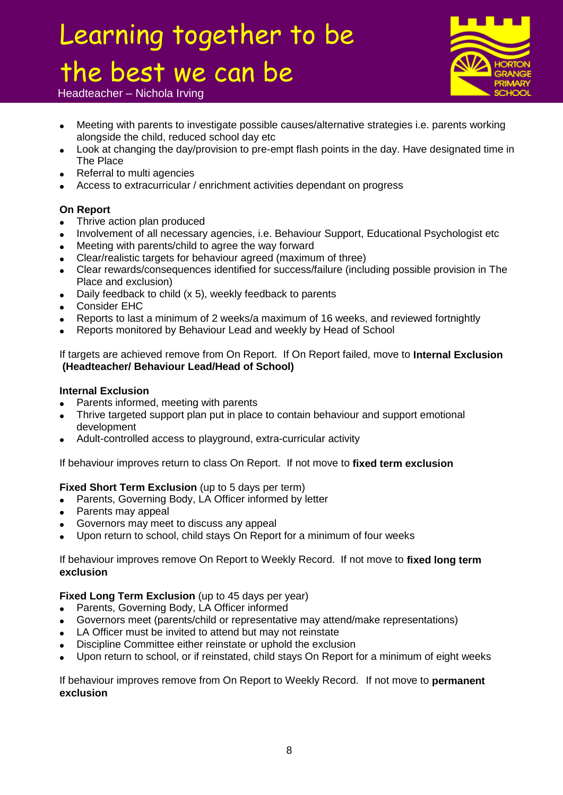

Headteacher – Nichola Irving

- Meeting with parents to investigate possible causes/alternative strategies i.e. parents working alongside the child, reduced school day etc
- Look at changing the day/provision to pre-empt flash points in the day. Have designated time in The Place
- Referral to multi agencies
- Access to extracurricular / enrichment activities dependant on progress

### **On Report**

- Thrive action plan produced
- Involvement of all necessary agencies, i.e. Behaviour Support, Educational Psychologist etc
- Meeting with parents/child to agree the way forward
- Clear/realistic targets for behaviour agreed (maximum of three)
- Clear rewards/consequences identified for success/failure (including possible provision in The Place and exclusion)
- Daily feedback to child (x 5), weekly feedback to parents
- Consider EHC
- Reports to last a minimum of 2 weeks/a maximum of 16 weeks, and reviewed fortnightly
- Reports monitored by Behaviour Lead and weekly by Head of School

If targets are achieved remove from On Report. If On Report failed, move to **Internal Exclusion (Headteacher/ Behaviour Lead/Head of School)**

### **Internal Exclusion**

- Parents informed, meeting with parents
- Thrive targeted support plan put in place to contain behaviour and support emotional development
- Adult-controlled access to playground, extra-curricular activity

### If behaviour improves return to class On Report. If not move to **fixed term exclusion**

### **Fixed Short Term Exclusion** (up to 5 days per term)

- Parents, Governing Body, LA Officer informed by letter
- Parents may appeal
- Governors may meet to discuss any appeal
- Upon return to school, child stays On Report for a minimum of four weeks

If behaviour improves remove On Report to Weekly Record. If not move to **fixed long term exclusion** 

### **Fixed Long Term Exclusion** (up to 45 days per year)

- Parents, Governing Body, LA Officer informed
- Governors meet (parents/child or representative may attend/make representations)
- LA Officer must be invited to attend but may not reinstate
- Discipline Committee either reinstate or uphold the exclusion
- Upon return to school, or if reinstated, child stays On Report for a minimum of eight weeks

If behaviour improves remove from On Report to Weekly Record. If not move to **permanent exclusion**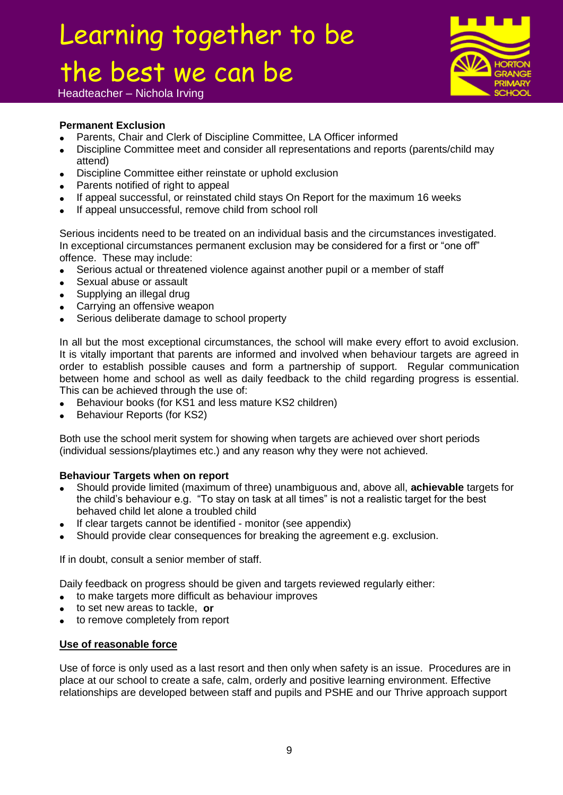

Headteacher – Nichola Irving

### **Permanent Exclusion**

- Parents, Chair and Clerk of Discipline Committee, LA Officer informed
- Discipline Committee meet and consider all representations and reports (parents/child may attend)
- Discipline Committee either reinstate or uphold exclusion
- Parents notified of right to appeal
- If appeal successful, or reinstated child stays On Report for the maximum 16 weeks
- If appeal unsuccessful, remove child from school roll

Serious incidents need to be treated on an individual basis and the circumstances investigated. In exceptional circumstances permanent exclusion may be considered for a first or "one off" offence. These may include:

- Serious actual or threatened violence against another pupil or a member of staff
- Sexual abuse or assault
- Supplying an illegal drug
- Carrying an offensive weapon
- Serious deliberate damage to school property

In all but the most exceptional circumstances, the school will make every effort to avoid exclusion. It is vitally important that parents are informed and involved when behaviour targets are agreed in order to establish possible causes and form a partnership of support. Regular communication between home and school as well as daily feedback to the child regarding progress is essential. This can be achieved through the use of:

- Behaviour books (for KS1 and less mature KS2 children)
- Behaviour Reports (for KS2)

Both use the school merit system for showing when targets are achieved over short periods (individual sessions/playtimes etc.) and any reason why they were not achieved.

#### **Behaviour Targets when on report**

- Should provide limited (maximum of three) unambiguous and, above all, **achievable** targets for the child's behaviour e.g. "To stay on task at all times" is not a realistic target for the best behaved child let alone a troubled child
- If clear targets cannot be identified monitor (see appendix)
- Should provide clear consequences for breaking the agreement e.g. exclusion.

If in doubt, consult a senior member of staff.

Daily feedback on progress should be given and targets reviewed regularly either:

- to make targets more difficult as behaviour improves
- to set new areas to tackle, **or**
- to remove completely from report

#### **Use of reasonable force**

Use of force is only used as a last resort and then only when safety is an issue. Procedures are in place at our school to create a safe, calm, orderly and positive learning environment. Effective relationships are developed between staff and pupils and PSHE and our Thrive approach support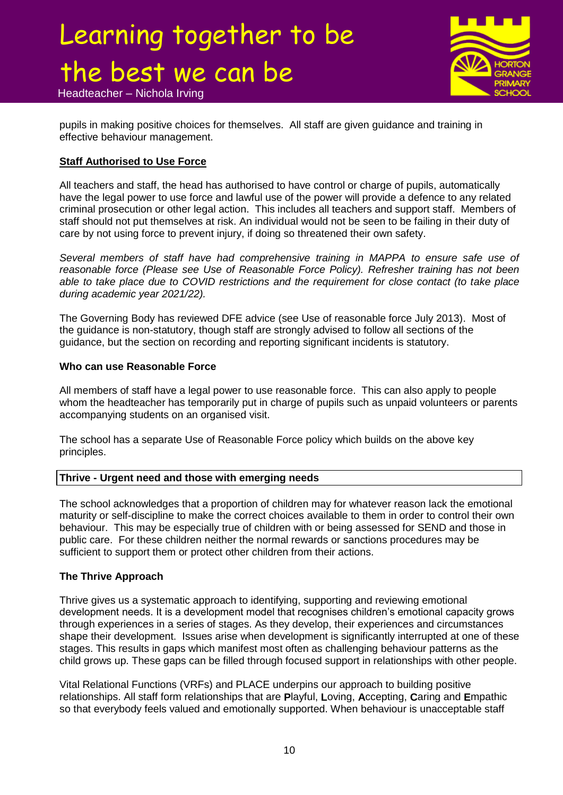Headteacher – Nichola Irving



pupils in making positive choices for themselves. All staff are given guidance and training in effective behaviour management.

### **Staff Authorised to Use Force**

All teachers and staff, the head has authorised to have control or charge of pupils, automatically have the legal power to use force and lawful use of the power will provide a defence to any related criminal prosecution or other legal action. This includes all teachers and support staff. Members of staff should not put themselves at risk. An individual would not be seen to be failing in their duty of care by not using force to prevent injury, if doing so threatened their own safety.

*Several members of staff have had comprehensive training in MAPPA to ensure safe use of reasonable force (Please see Use of Reasonable Force Policy). Refresher training has not been able to take place due to COVID restrictions and the requirement for close contact (to take place during academic year 2021/22).*

The Governing Body has reviewed DFE advice (see Use of reasonable force July 2013). Most of the guidance is non-statutory, though staff are strongly advised to follow all sections of the guidance, but the section on recording and reporting significant incidents is statutory.

### **Who can use Reasonable Force**

All members of staff have a legal power to use reasonable force. This can also apply to people whom the headteacher has temporarily put in charge of pupils such as unpaid volunteers or parents accompanying students on an organised visit.

The school has a separate Use of Reasonable Force policy which builds on the above key principles.

### **Thrive - Urgent need and those with emerging needs**

The school acknowledges that a proportion of children may for whatever reason lack the emotional maturity or self-discipline to make the correct choices available to them in order to control their own behaviour. This may be especially true of children with or being assessed for SEND and those in public care. For these children neither the normal rewards or sanctions procedures may be sufficient to support them or protect other children from their actions.

### **The Thrive Approach**

Thrive gives us a systematic approach to identifying, supporting and reviewing emotional development needs. It is a development model that recognises children's emotional capacity grows through experiences in a series of stages. As they develop, their experiences and circumstances shape their development. Issues arise when development is significantly interrupted at one of these stages. This results in gaps which manifest most often as challenging behaviour patterns as the child grows up. These gaps can be filled through focused support in relationships with other people.

Vital Relational Functions (VRFs) and PLACE underpins our approach to building positive relationships. All staff form relationships that are **P**layful, **L**oving, **A**ccepting, **C**aring and **E**mpathic so that everybody feels valued and emotionally supported. When behaviour is unacceptable staff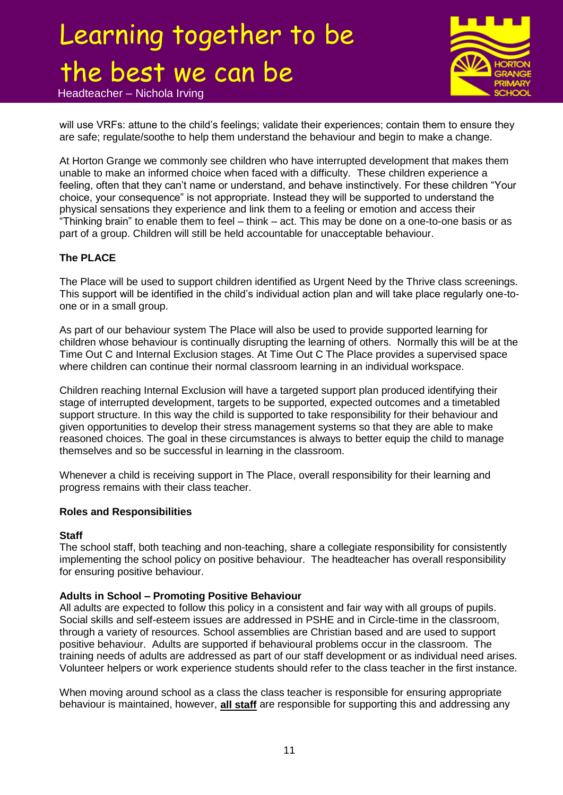Headteacher – Nichola Irving



will use VRFs: attune to the child's feelings; validate their experiences; contain them to ensure they are safe; regulate/soothe to help them understand the behaviour and begin to make a change.

At Horton Grange we commonly see children who have interrupted development that makes them unable to make an informed choice when faced with a difficulty. These children experience a feeling, often that they can't name or understand, and behave instinctively. For these children "Your choice, your consequence" is not appropriate. Instead they will be supported to understand the physical sensations they experience and link them to a feeling or emotion and access their "Thinking brain" to enable them to feel – think – act. This may be done on a one-to-one basis or as part of a group. Children will still be held accountable for unacceptable behaviour.

### **The PLACE**

The Place will be used to support children identified as Urgent Need by the Thrive class screenings. This support will be identified in the child's individual action plan and will take place regularly one-toone or in a small group.

As part of our behaviour system The Place will also be used to provide supported learning for children whose behaviour is continually disrupting the learning of others. Normally this will be at the Time Out C and Internal Exclusion stages. At Time Out C The Place provides a supervised space where children can continue their normal classroom learning in an individual workspace.

Children reaching Internal Exclusion will have a targeted support plan produced identifying their stage of interrupted development, targets to be supported, expected outcomes and a timetabled support structure. In this way the child is supported to take responsibility for their behaviour and given opportunities to develop their stress management systems so that they are able to make reasoned choices. The goal in these circumstances is always to better equip the child to manage themselves and so be successful in learning in the classroom.

Whenever a child is receiving support in The Place, overall responsibility for their learning and progress remains with their class teacher.

#### **Roles and Responsibilities**

#### **Staff**

The school staff, both teaching and non-teaching, share a collegiate responsibility for consistently implementing the school policy on positive behaviour. The headteacher has overall responsibility for ensuring positive behaviour.

### **Adults in School – Promoting Positive Behaviour**

All adults are expected to follow this policy in a consistent and fair way with all groups of pupils. Social skills and self-esteem issues are addressed in PSHE and in Circle-time in the classroom, through a variety of resources. School assemblies are Christian based and are used to support positive behaviour. Adults are supported if behavioural problems occur in the classroom. The training needs of adults are addressed as part of our staff development or as individual need arises. Volunteer helpers or work experience students should refer to the class teacher in the first instance.

When moving around school as a class the class teacher is responsible for ensuring appropriate behaviour is maintained, however, **all staff** are responsible for supporting this and addressing any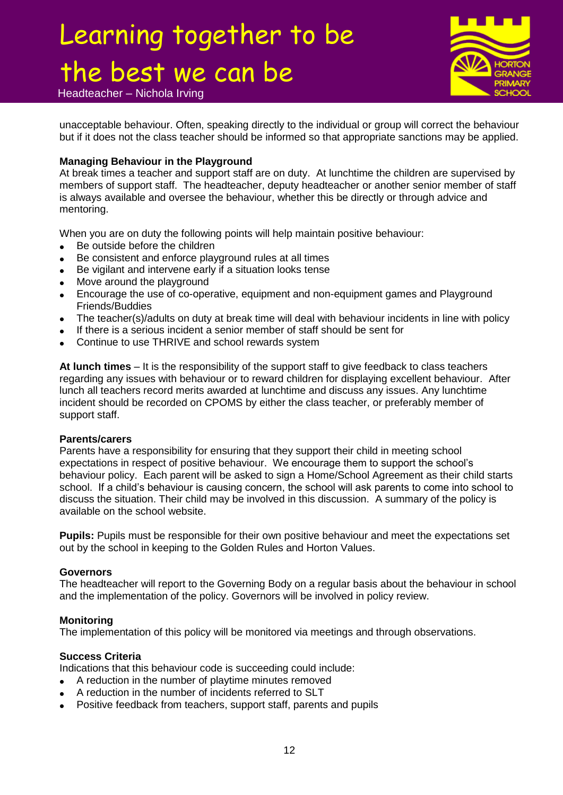Headteacher – Nichola Irving

unacceptable behaviour. Often, speaking directly to the individual or group will correct the behaviour but if it does not the class teacher should be informed so that appropriate sanctions may be applied.

#### **Managing Behaviour in the Playground**

At break times a teacher and support staff are on duty. At lunchtime the children are supervised by members of support staff. The headteacher, deputy headteacher or another senior member of staff is always available and oversee the behaviour, whether this be directly or through advice and mentoring.

When you are on duty the following points will help maintain positive behaviour:

- Be outside before the children
- Be consistent and enforce playground rules at all times
- Be vigilant and intervene early if a situation looks tense
- Move around the playground
- Encourage the use of co-operative, equipment and non-equipment games and Playground Friends/Buddies
- The teacher(s)/adults on duty at break time will deal with behaviour incidents in line with policy
- If there is a serious incident a senior member of staff should be sent for
- Continue to use THRIVE and school rewards system

**At lunch times** – It is the responsibility of the support staff to give feedback to class teachers regarding any issues with behaviour or to reward children for displaying excellent behaviour. After lunch all teachers record merits awarded at lunchtime and discuss any issues. Any lunchtime incident should be recorded on CPOMS by either the class teacher, or preferably member of support staff.

#### **Parents/carers**

Parents have a responsibility for ensuring that they support their child in meeting school expectations in respect of positive behaviour. We encourage them to support the school's behaviour policy. Each parent will be asked to sign a Home/School Agreement as their child starts school. If a child's behaviour is causing concern, the school will ask parents to come into school to discuss the situation. Their child may be involved in this discussion. A summary of the policy is available on the school website.

**Pupils:** Pupils must be responsible for their own positive behaviour and meet the expectations set out by the school in keeping to the Golden Rules and Horton Values.

#### **Governors**

The headteacher will report to the Governing Body on a regular basis about the behaviour in school and the implementation of the policy. Governors will be involved in policy review.

#### **Monitoring**

The implementation of this policy will be monitored via meetings and through observations.

### **Success Criteria**

Indications that this behaviour code is succeeding could include:

- A reduction in the number of playtime minutes removed
- A reduction in the number of incidents referred to SLT
- Positive feedback from teachers, support staff, parents and pupils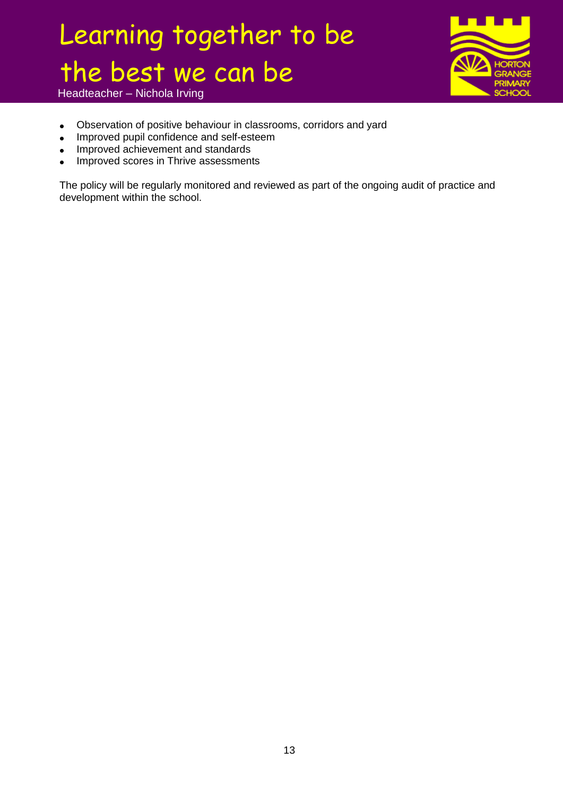Headteacher – Nichola Irving

- Observation of positive behaviour in classrooms, corridors and yard
- Improved pupil confidence and self-esteem
- Improved achievement and standards
- Improved scores in Thrive assessments

The policy will be regularly monitored and reviewed as part of the ongoing audit of practice and development within the school.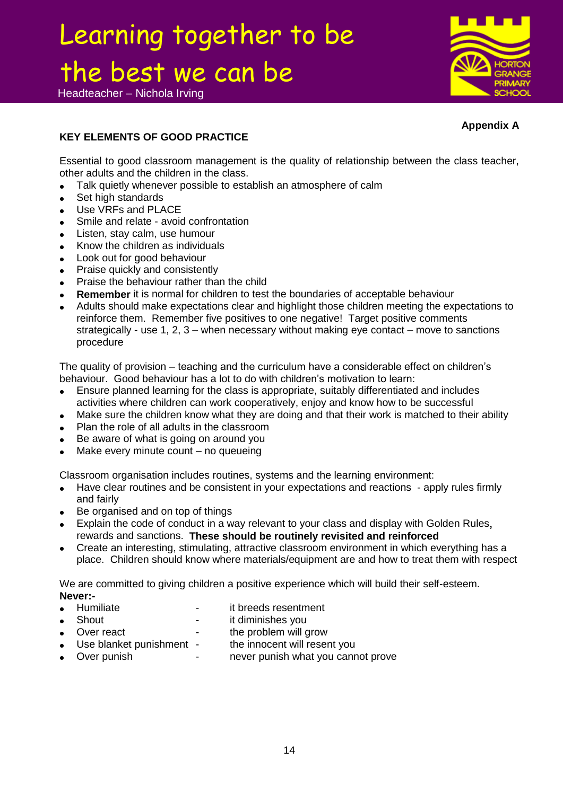Headteacher – Nichola Irving



### **Appendix A**

### **KEY ELEMENTS OF GOOD PRACTICE**

Essential to good classroom management is the quality of relationship between the class teacher, other adults and the children in the class.

- Talk quietly whenever possible to establish an atmosphere of calm
- Set high standards
- Use VRFs and PLACE
- Smile and relate avoid confrontation
- Listen, stay calm, use humour
- Know the children as individuals
- Look out for good behaviour
- Praise quickly and consistently
- Praise the behaviour rather than the child
- **Remember** it is normal for children to test the boundaries of acceptable behaviour
- Adults should make expectations clear and highlight those children meeting the expectations to reinforce them. Remember five positives to one negative! Target positive comments strategically - use 1, 2, 3 – when necessary without making eye contact – move to sanctions procedure

The quality of provision – teaching and the curriculum have a considerable effect on children's behaviour. Good behaviour has a lot to do with children's motivation to learn:

- Ensure planned learning for the class is appropriate, suitably differentiated and includes activities where children can work cooperatively, enjoy and know how to be successful
- Make sure the children know what they are doing and that their work is matched to their ability
- Plan the role of all adults in the classroom
- Be aware of what is going on around you
- Make every minute count no queueing

Classroom organisation includes routines, systems and the learning environment:

- Have clear routines and be consistent in your expectations and reactions apply rules firmly and fairly
- Be organised and on top of things
- Explain the code of conduct in a way relevant to your class and display with Golden Rules**,**  rewards and sanctions. **These should be routinely revisited and reinforced**
- Create an interesting, stimulating, attractive classroom environment in which everything has a place. Children should know where materials/equipment are and how to treat them with respect

We are committed to giving children a positive experience which will build their self-esteem. **Never:-**

- Humiliate it breeds resentment it diminishes vou
- 
- Shout it diminishes you<br>• Over react the problem will c the problem will grow
- 
- Use blanket punishment the innocent will resent you<br>• Over punish never punish what you canrell never punish what you cannot prove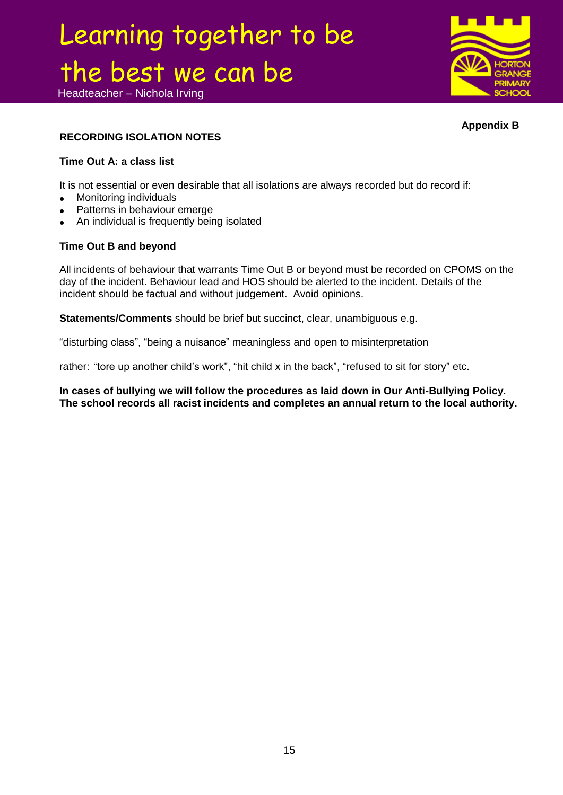Headteacher – Nichola Irving



**Appendix B**

### **RECORDING ISOLATION NOTES**

### **Time Out A: a class list**

It is not essential or even desirable that all isolations are always recorded but do record if:

- Monitoring individuals
- Patterns in behaviour emerge
- An individual is frequently being isolated

### **Time Out B and beyond**

All incidents of behaviour that warrants Time Out B or beyond must be recorded on CPOMS on the day of the incident. Behaviour lead and HOS should be alerted to the incident. Details of the incident should be factual and without judgement. Avoid opinions.

**Statements/Comments** should be brief but succinct, clear, unambiguous e.g.

"disturbing class", "being a nuisance" meaningless and open to misinterpretation

rather: "tore up another child's work", "hit child x in the back", "refused to sit for story" etc.

**In cases of bullying we will follow the procedures as laid down in Our Anti-Bullying Policy. The school records all racist incidents and completes an annual return to the local authority.**